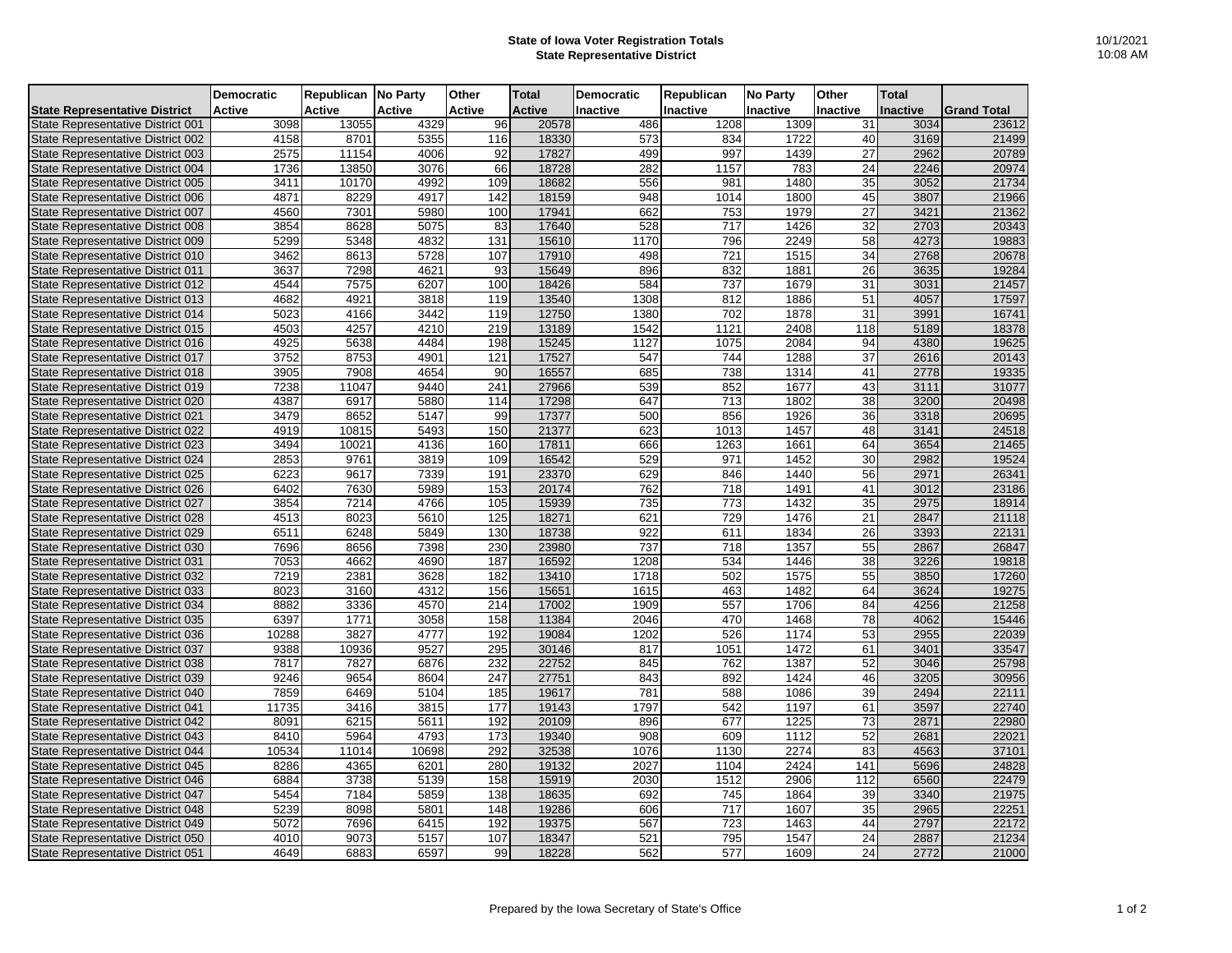## **State of Iowa Voter Registration Totals State Representative District**

| 10/1/2021 |  |
|-----------|--|
| 10:08 AM  |  |

|                                      | <b>Democratic</b> | Republican No Party |               | Other         | <b>Total</b>  | <b>Democratic</b> | Republican      | <b>No Party</b> | Other           | <b>Total</b>    |                    |
|--------------------------------------|-------------------|---------------------|---------------|---------------|---------------|-------------------|-----------------|-----------------|-----------------|-----------------|--------------------|
| <b>State Representative District</b> | <b>Active</b>     | Active              | <b>Active</b> | <b>Active</b> | <b>Active</b> | <b>Inactive</b>   | <b>Inactive</b> | <b>Inactive</b> | <b>Inactive</b> | <b>Inactive</b> | <b>Grand Total</b> |
| State Representative District 001    | 3098              | 13055               | 4329          | 96            | 20578         | 486               | 1208            | 1309            | 31              | 3034            | 23612              |
| State Representative District 002    | 4158              | 8701                | 5355          | 116           | 18330         | 573               | 834             | 1722            | 40              | 3169            | 21499              |
| State Representative District 003    | 2575              | 11154               | 4006          | 92            | 17827         | 499               | 997             | 1439            | 27              | 2962            | 20789              |
| State Representative District 004    | 1736              | 13850               | 3076          | 66            | 18728         | 282               | 1157            | 783             | 24              | 2246            | 20974              |
| State Representative District 005    | 3411              | 10170               | 4992          | 109           | 18682         | 556               | 981             | 1480            | 35              | 3052            | 21734              |
| State Representative District 006    | 4871              | 8229                | 4917          | 142           | 18159         | 948               | 1014            | 1800            | 45              | 3807            | 21966              |
| State Representative District 007    | 4560              | 7301                | 5980          | 100           | 17941         | 662               | 753             | 1979            | 27              | 3421            | 21362              |
| State Representative District 008    | 3854              | 8628                | 5075          | 83            | 17640         | 528               | 717             | 1426            | 32              | 2703            | 20343              |
| State Representative District 009    | 5299              | 5348                | 4832          | 131           | 15610         | 1170              | 796             | 2249            | 58              | 4273            | 19883              |
| State Representative District 010    | 3462              | 8613                | 5728          | 107           | 17910         | 498               | 721             | 1515            | 34              | 2768            | 20678              |
| State Representative District 011    | 3637              | 7298                | 4621          | 93            | 15649         | 896               | 832             | 1881            | 26              | 3635            | 19284              |
| State Representative District 012    | 4544              | 7575                | 6207          | 100           | 18426         | 584               | 737             | 1679            | 31              | 3031            | 21457              |
| State Representative District 013    | 4682              | 4921                | 3818          | 119           | 13540         | 1308              | 812             | 1886            | 51              | 4057            | 17597              |
| State Representative District 014    | 5023              | 4166                | 3442          | 119           | 12750         | 1380              | 702             | 1878            | 31              | 3991            | 16741              |
| State Representative District 015    | 4503              | 4257                | 4210          | 219           | 13189         | 1542              | 1121            | 2408            | 118             | 5189            | 18378              |
| State Representative District 016    | 4925              | 5638                | 4484          | 198           | 15245         | 1127              | 1075            | 2084            | 94              | 4380            | 19625              |
| State Representative District 017    | 3752              | 8753                | 4901          | 121           | 17527         | 547               | 744             | 1288            | 37              | 2616            | 20143              |
| State Representative District 018    | 3905              | 7908                | 4654          | 90            | 16557         | 685               | 738             | 1314            | 41              | 2778            | 19335              |
| State Representative District 019    | 7238              | 11047               | 9440          | 241           | 27966         | 539               | 852             | 1677            | 43              | 3111            | 31077              |
| State Representative District 020    | 4387              | 6917                | 5880          | 114           | 17298         | 647               | 713             | 1802            | 38              | 3200            | 20498              |
| State Representative District 021    | 3479              | 8652                | 5147          | 99            | 17377         | 500               | 856             | 1926            | 36              | 3318            | 20695              |
| State Representative District 022    | 4919              | 10815               | 5493          | 150           | 21377         | 623               | 1013            | 1457            | 48              | 3141            | 24518              |
| State Representative District 023    | 3494              | 10021               | 4136          | 160           | 17811         | 666               | 1263            | 1661            | 64              | 3654            | 21465              |
| State Representative District 024    | 2853              | 9761                | 3819          | 109           | 16542         | 529               | 971             | 1452            | 30              | 2982            | 19524              |
| State Representative District 025    | 6223              | 9617                | 7339          | 191           | 23370         | 629               | 846             | 1440            | 56              | 2971            | 26341              |
| State Representative District 026    | 6402              | 7630                | 5989          | 153           | 20174         | 762               | 718             | 1491            | 41              | 3012            | 23186              |
| State Representative District 027    | 3854              | 7214                | 4766          | 105           | 15939         | 735               | 773             | 1432            | 35              | 2975            | 18914              |
| State Representative District 028    | 4513              | 8023                | 5610          | 125           | 18271         | 621               | 729             | 1476            | 21              | 2847            | 21118              |
| State Representative District 029    | 6511              | 6248                | 5849          | 130           | 18738         | 922               | 611             | 1834            | 26              | 3393            | 22131              |
| State Representative District 030    | 7696              | 8656                | 7398          | 230           | 23980         | 737               | 718             | 1357            | 55              | 2867            | 26847              |
| State Representative District 031    | 7053              | 4662                | 4690          | 187           | 16592         | 1208              | 534             | 1446            | 38              | 3226            | 19818              |
| State Representative District 032    | 7219              | 2381                | 3628          | 182           | 13410         | 1718              | 502             | 1575            | 55              | 3850            | 17260              |
| State Representative District 033    | 8023              | 3160                | 4312          | 156           | 15651         | 1615              | 463             | 1482            | 64              | 3624            | 19275              |
| State Representative District 034    | 8882              | 3336                | 4570          | 214           | 17002         | 1909              | 557             | 1706            | 84              | 4256            | 21258              |
| State Representative District 035    | 6397              | 1771                | 3058          | 158           | 11384         | 2046              | 470             | 1468            | 78              | 4062            | 15446              |
| State Representative District 036    | 10288             | 3827                | 4777          | 192           | 19084         | 1202              | 526             | 1174            | 53              | 2955            | 22039              |
| State Representative District 037    | 9388              | 10936               | 9527          | 295           | 30146         | 817               | 1051            | 1472            | 61              | 3401            | 33547              |
| State Representative District 038    | 7817              | 7827                | 6876          | 232           | 22752         | 845               | 762             | 1387            | 52              | 3046            | 25798              |
| State Representative District 039    | 9246              | 9654                | 8604          | 247           | 27751         | 843               | 892             | 1424            | 46              | 3205            | 30956              |
| State Representative District 040    | 7859              | 6469                | 5104          | 185           | 19617         | 781               | 588             | 1086            | 39              | 2494            | 22111              |
| State Representative District 041    | 11735             | 3416                | 3815          | 177           | 19143         | 1797              | 542             | 1197            | 61              | 3597            | 22740              |
| State Representative District 042    | 8091              | 6215                | 5611          | 192           | 20109         | 896               | 677             | 1225            | 73              | 2871            | 22980              |
| State Representative District 043    | 8410              | 5964                | 4793          | 173           | 19340         | 908               | 609             | 1112            | 52              | 2681            | 22021              |
| State Representative District 044    | 10534             | 11014               | 10698         | 292           | 32538         | 1076              | 1130            | 2274            | 83              | 4563            | 37101              |
| State Representative District 045    | 8286              | 4365                | 6201          | 280           | 19132         | 2027              | 1104            | 2424            | 141             | 5696            | 24828              |
| State Representative District 046    | 6884              | 3738                | 5139          | 158           | 15919         | 2030              | 1512            | 2906            | 112             | 6560            | 22479              |
| State Representative District 047    | 5454              | 7184                | 5859          | 138           | 18635         | 692               | 745             | 1864            | 39              | 3340            | 21975              |
| State Representative District 048    | 5239              | 8098                | 5801          | 148           | 19286         | 606               | 717             | 1607            | 35              | 2965            | 22251              |
| State Representative District 049    | 5072              | 7696                | 6415          | 192           | 19375         | 567               | 723             | 1463            | 44              | 2797            | 22172              |
| State Representative District 050    | 4010              | 9073                | 5157          | 107           | 18347         | 521               | 795             | 1547            | 24              | 2887            | 21234              |
| State Representative District 051    | 4649              | 6883                | 6597          | 99            | 18228         | 562               | 577             | 1609            | 24              | 2772            | 21000              |